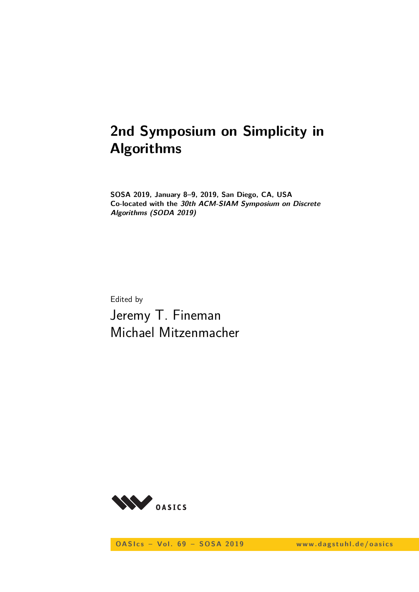# **2nd Symposium on Simplicity in Algorithms**

**SOSA 2019, January 8–9, 2019, San Diego, CA, USA Co-located with the 30th ACM-SIAM Symposium on Discrete Algorithms (SODA 2019)**

Edited by Jeremy T. Fineman Michael Mitzenmacher



**OASIcs - Vol. 69 - SOSA 2019** www.dagstuhl.de/oasics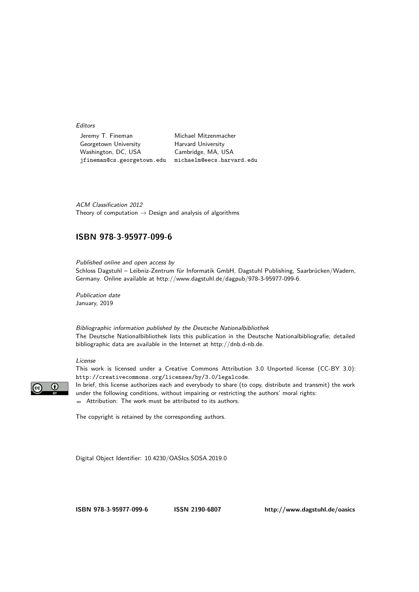**Editors** 

Jeremy T. Fineman Michael Mitzenmacher Georgetown University Harvard University Washington, DC, USA Cambridge, MA, USA jfineman@cs.georgetown.edu michaelm@eecs.harvard.edu

ACM Classification 2012 Theory of computation  $\rightarrow$  Design and analysis of algorithms

### **[ISBN 978-3-95977-099-6](http://www.dagstuhl.de/dagpub/978-3-95977-099-6)**

Published online and open access by Schloss Dagstuhl – Leibniz-Zentrum für Informatik GmbH, Dagstuhl Publishing, Saarbrücken/Wadern, Germany. Online available at [http://www.dagstuhl.de/dagpub/978-3-95977-099-6.](http://www.dagstuhl.de/dagpub/978-3-95977-099-6)

Publication date January, 2019

Bibliographic information published by the Deutsche Nationalbibliothek The Deutsche Nationalbibliothek lists this publication in the Deutsche Nationalbibliografie; detailed bibliographic data are available in the Internet at [http://dnb.d-nb.de.](http://dnb.d-nb.de)

#### License



This work is licensed under a Creative Commons Attribution 3.0 Unported license (CC-BY 3.0): http://creativecommons.org/licenses/by/3.0/legalcode.

In brief, this license authorizes each and everybody to share (to copy, distribute and transmit) the work under the following conditions, without impairing or restricting the authors' moral rights: Attribution: The work must be attributed to its authors.

The copyright is retained by the corresponding authors.

Digital Object Identifier: [10.4230/OASIcs.SOSA.2019.0](http://dx.doi.org/10.4230/OASIcs.SOSA.2019.0)

**[ISBN 978-3-95977-099-6](http://www.dagstuhl.de/dagpub/978-3-95977-099-6) [ISSN 2190-6807](http://drops.dagstuhl.de/oasics)<http://www.dagstuhl.de/oasics>**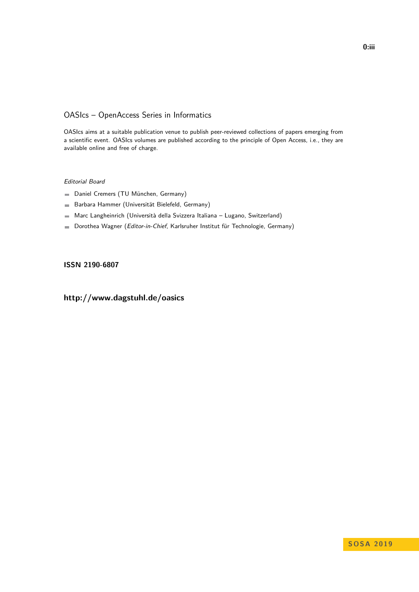### OASIcs – OpenAccess Series in Informatics

OASIcs aims at a suitable publication venue to publish peer-reviewed collections of papers emerging from a scientific event. OASIcs volumes are published according to the principle of Open Access, i.e., they are available online and free of charge.

#### Editorial Board

- Daniel Cremers (TU München, Germany)
- Barbara Hammer (Universität Bielefeld, Germany)  $\frac{1}{2}$
- Marc Langheinrich (Università della Svizzera Italiana Lugano, Switzerland)
- Dorothea Wagner (Editor-in-Chief, Karlsruher Institut für Technologie, Germany)  $\blacksquare$

#### **[ISSN 2190-6807](http://www.dagstuhl.de/dagpub/2190-6807)**

## **<http://www.dagstuhl.de/oasics>**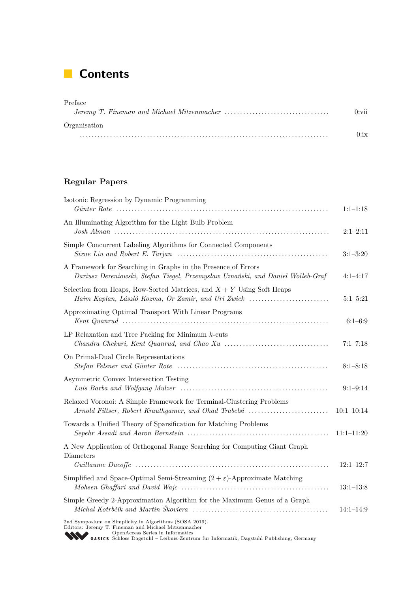# **Contents**

| Preface      |      |
|--------------|------|
|              | 0:vi |
| Organisation |      |
|              | 0.1x |

# **Regular Papers**

| Isotonic Regression by Dynamic Programming                                                                                                                                                                                                             | $1:1-1:18$    |
|--------------------------------------------------------------------------------------------------------------------------------------------------------------------------------------------------------------------------------------------------------|---------------|
| An Illuminating Algorithm for the Light Bulb Problem                                                                                                                                                                                                   | $2:1-2:11$    |
| Simple Concurrent Labeling Algorithms for Connected Components                                                                                                                                                                                         | $3:1-3:20$    |
| A Framework for Searching in Graphs in the Presence of Errors<br>Dariusz Dereniowski, Stefan Tiegel, Przemysław Uznański, and Daniel Wolleb-Graf                                                                                                       | $4:1 - 4:17$  |
| Selection from Heaps, Row-Sorted Matrices, and $X + Y$ Using Soft Heaps<br>Haim Kaplan, László Kozma, Or Zamir, and Uri Zwick                                                                                                                          | $5:1 - 5:21$  |
| Approximating Optimal Transport With Linear Programs                                                                                                                                                                                                   | $6:1 - 6:9$   |
| LP Relaxation and Tree Packing for Minimum $k$ -cuts                                                                                                                                                                                                   | $7:1 - 7:18$  |
| On Primal-Dual Circle Representations                                                                                                                                                                                                                  | $8:1 - 8:18$  |
| Asymmetric Convex Intersection Testing                                                                                                                                                                                                                 | $9:1 - 9:14$  |
| Relaxed Voronoi: A Simple Framework for Terminal-Clustering Problems<br>Arnold Filtser, Robert Krauthgamer, and Ohad Trabelsi                                                                                                                          | $10:1-10:14$  |
| Towards a Unified Theory of Sparsification for Matching Problems                                                                                                                                                                                       | $11:1-11:20$  |
| A New Application of Orthogonal Range Searching for Computing Giant Graph<br>Diameters                                                                                                                                                                 |               |
|                                                                                                                                                                                                                                                        | $12:1-12:7$   |
| Simplified and Space-Optimal Semi-Streaming $(2 + \varepsilon)$ -Approximate Matching                                                                                                                                                                  | $13:1-13:8$   |
| Simple Greedy 2-Approximation Algorithm for the Maximum Genus of a Graph                                                                                                                                                                               | $14:1 - 14:9$ |
| 2nd Symposium on Simplicity in Algorithms (SOSA 2019).<br>Editors: Jeremy T. Fineman and Michael Mitzenmacher<br>OpenAccess Series in Informatics<br><b>WED OASICS</b> Schloss Dagstuhl - Leibniz-Zentrum für Informatik, Dagstuhl Publishing, Germany |               |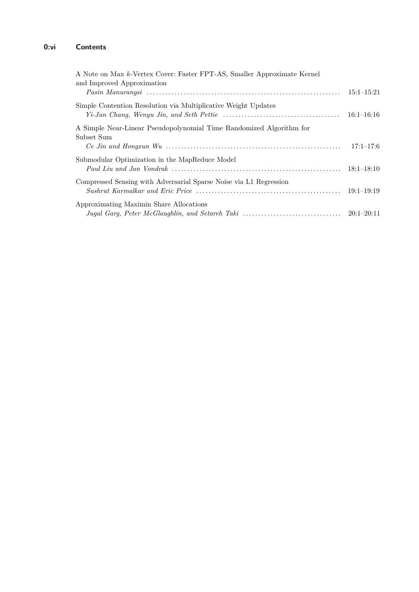## **0:vi Contents**

| A Note on Max k-Vertex Cover: Faster FPT-AS, Smaller Approximate Kernel<br>and Improved Approximation |                |
|-------------------------------------------------------------------------------------------------------|----------------|
|                                                                                                       | $15:1 - 15:21$ |
| Simple Contention Resolution via Multiplicative Weight Updates                                        | $16:1 - 16:16$ |
| A Simple Near-Linear Pseudopolynomial Time Randomized Algorithm for<br>Subset Sum                     | $17:1 - 17:6$  |
| Submodular Optimization in the MapReduce Model                                                        |                |
| Compressed Sensing with Adversarial Sparse Noise via L1 Regression                                    | $19:1-19:19$   |
| Approximating Maximin Share Allocations                                                               |                |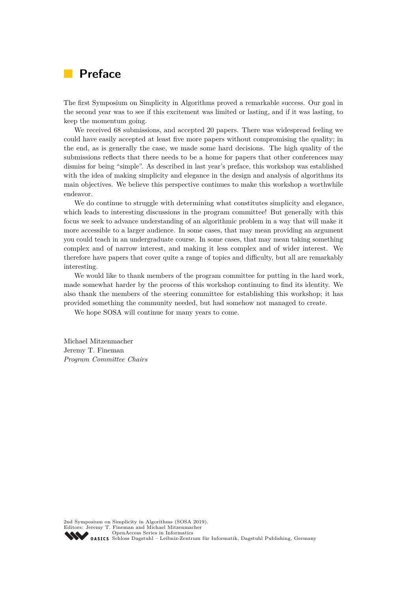# **Preface**

The first Symposium on Simplicity in Algorithms proved a remarkable success. Our goal in the second year was to see if this excitement was limited or lasting, and if it was lasting, to keep the momentum going.

We received 68 submissions, and accepted 20 papers. There was widespread feeling we could have easily accepted at least five more papers without compromising the quality; in the end, as is generally the case, we made some hard decisions. The high quality of the submissions reflects that there needs to be a home for papers that other conferences may dismiss for being "simple". As described in last year's preface, this workshop was established with the idea of making simplicity and elegance in the design and analysis of algorithms its main objectives. We believe this perspective continues to make this workshop a worthwhile endeavor.

We do continue to struggle with determining what constitutes simplicity and elegance, which leads to interesting discussions in the program committee! But generally with this focus we seek to advance understanding of an algorithmic problem in a way that will make it more accessible to a larger audience. In some cases, that may mean providing an argument you could teach in an undergraduate course. In some cases, that may mean taking something complex and of narrow interest, and making it less complex and of wider interest. We therefore have papers that cover quite a range of topics and difficulty, but all are remarkably interesting.

We would like to thank members of the program committee for putting in the hard work, made somewhat harder by the process of this workshop continuing to find its identity. We also thank the members of the steering committee for establishing this workshop; it has provided something the community needed, but had somehow not managed to create.

We hope SOSA will continue for many years to come.

Michael Mitzenmacher Jeremy T. Fineman *Program Committee Chairs*